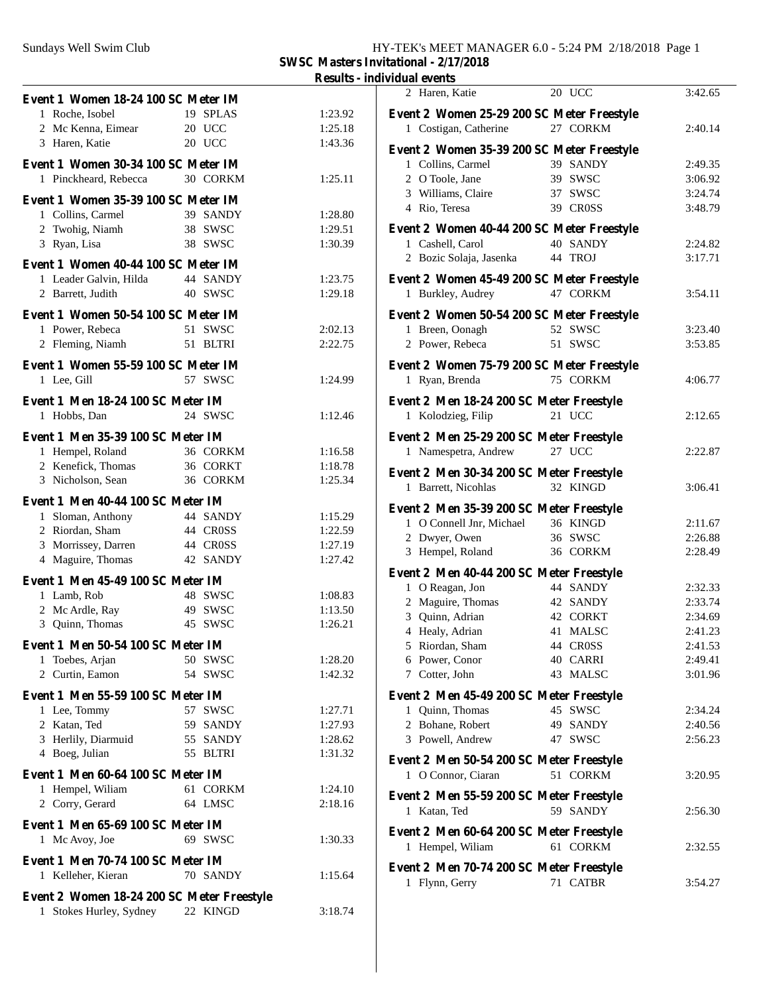## Sundays Well Swim Club HY-TEK's MEET MANAGER 6.0 - 5:24 PM 2/18/2018 Page 1 **SWSC Masters Invitational - 2/17/2018**

**Results - individual events**

| Event 1 Women 18-24 100 SC Meter IM        |          |         | 2 Haren, Katie                                                  | 20 UCC   | 3:42.65 |
|--------------------------------------------|----------|---------|-----------------------------------------------------------------|----------|---------|
| 1 Roche, Isobel                            | 19 SPLAS | 1:23.92 | Event 2 Women 25-29 200 SC Meter Freestyle                      |          |         |
| 2 Mc Kenna, Eimear                         | 20 UCC   | 1:25.18 | 1 Costigan, Catherine                                           | 27 CORKM | 2:40.14 |
| 3 Haren, Katie                             | 20 UCC   | 1:43.36 |                                                                 |          |         |
| Event 1 Women 30-34 100 SC Meter IM        |          |         | Event 2 Women 35-39 200 SC Meter Freestyle<br>1 Collins, Carmel | 39 SANDY |         |
|                                            | 30 CORKM | 1:25.11 | 2 O Toole, Jane                                                 | 39 SWSC  | 2:49.35 |
| 1 Pinckheard, Rebecca                      |          |         |                                                                 | 37 SWSC  | 3:06.92 |
| Event 1 Women 35-39 100 SC Meter IM        |          |         | 3 Williams, Claire                                              | 39 CROSS | 3:24.74 |
| 1 Collins, Carmel                          | 39 SANDY | 1:28.80 | 4 Rio, Teresa                                                   |          | 3:48.79 |
| 2 Twohig, Niamh                            | 38 SWSC  | 1:29.51 | Event 2 Women 40-44 200 SC Meter Freestyle                      |          |         |
| 3 Ryan, Lisa                               | 38 SWSC  | 1:30.39 | 1 Cashell, Carol                                                | 40 SANDY | 2:24.82 |
| Event 1 Women 40-44 100 SC Meter IM        |          |         | 2 Bozic Solaja, Jasenka                                         | 44 TROJ  | 3:17.71 |
| 1 Leader Galvin, Hilda                     | 44 SANDY | 1:23.75 | Event 2 Women 45-49 200 SC Meter Freestyle                      |          |         |
| 2 Barrett, Judith                          | 40 SWSC  | 1:29.18 | 1 Burkley, Audrey                                               | 47 CORKM | 3:54.11 |
|                                            |          |         |                                                                 |          |         |
| Event 1 Women 50-54 100 SC Meter IM        |          |         | Event 2 Women 50-54 200 SC Meter Freestyle                      |          |         |
| 1 Power, Rebeca                            | 51 SWSC  | 2:02.13 | 1 Breen, Oonagh                                                 | 52 SWSC  | 3:23.40 |
| 2 Fleming, Niamh                           | 51 BLTRI | 2:22.75 | 2 Power, Rebeca                                                 | 51 SWSC  | 3:53.85 |
| Event 1 Women 55-59 100 SC Meter IM        |          |         | Event 2 Women 75-79 200 SC Meter Freestyle                      |          |         |
| 1 Lee, Gill                                | 57 SWSC  | 1:24.99 | 1 Ryan, Brenda                                                  | 75 CORKM | 4:06.77 |
|                                            |          |         |                                                                 |          |         |
| Event 1 Men 18-24 100 SC Meter IM          |          |         | Event 2 Men 18-24 200 SC Meter Freestyle                        |          |         |
| 1 Hobbs, Dan                               | 24 SWSC  | 1:12.46 | 1 Kolodzieg, Filip                                              | 21 UCC   | 2:12.65 |
| Event 1 Men 35-39 100 SC Meter IM          |          |         | Event 2 Men 25-29 200 SC Meter Freestyle                        |          |         |
| 1 Hempel, Roland                           | 36 CORKM | 1:16.58 | 1 Namespetra, Andrew                                            | 27 UCC   | 2:22.87 |
| 2 Kenefick, Thomas                         | 36 CORKT | 1:18.78 | Event 2 Men 30-34 200 SC Meter Freestyle                        |          |         |
| 3 Nicholson, Sean                          | 36 CORKM | 1:25.34 | 1 Barrett, Nicohlas                                             | 32 KINGD | 3:06.41 |
| Event 1 Men 40-44 100 SC Meter IM          |          |         |                                                                 |          |         |
| 1 Sloman, Anthony                          | 44 SANDY | 1:15.29 | Event 2 Men 35-39 200 SC Meter Freestyle                        |          |         |
| 2 Riordan, Sham                            | 44 CROSS | 1:22.59 | 1 O Connell Jnr, Michael                                        | 36 KINGD | 2:11.67 |
| 3 Morrissey, Darren                        | 44 CROSS | 1:27.19 | 2 Dwyer, Owen                                                   | 36 SWSC  | 2:26.88 |
| 4 Maguire, Thomas                          | 42 SANDY | 1:27.42 | 3 Hempel, Roland                                                | 36 CORKM | 2:28.49 |
|                                            |          |         | Event 2 Men 40-44 200 SC Meter Freestyle                        |          |         |
| Event 1 Men 45-49 100 SC Meter IM          |          |         | 1 O Reagan, Jon                                                 | 44 SANDY | 2:32.33 |
| 1 Lamb, Rob                                | 48 SWSC  | 1:08.83 | Maguire, Thomas<br>2                                            | 42 SANDY | 2:33.74 |
| 2 Mc Ardle, Ray                            | 49 SWSC  | 1:13.50 | Quinn, Adrian<br>3                                              | 42 CORKT | 2:34.69 |
| 3 Quinn, Thomas                            | 45 SWSC  | 1:26.21 | 4 Healy, Adrian                                                 | 41 MALSC | 2:41.23 |
| Event 1 Men 50-54 100 SC Meter IM          |          |         | 5 Riordan, Sham                                                 | 44 CROSS | 2:41.53 |
| 1 Toebes, Arjan                            | 50 SWSC  | 1:28.20 | 6 Power, Conor                                                  | 40 CARRI | 2:49.41 |
| 2 Curtin, Eamon                            | 54 SWSC  | 1:42.32 | 7 Cotter, John                                                  | 43 MALSC | 3:01.96 |
| Event 1 Men 55-59 100 SC Meter IM          |          |         | Event 2 Men 45-49 200 SC Meter Freestyle                        |          |         |
| 1 Lee, Tommy                               | 57 SWSC  | 1:27.71 | 1 Quinn, Thomas                                                 | 45 SWSC  | 2:34.24 |
| 2 Katan, Ted                               | 59 SANDY | 1:27.93 | 2 Bohane, Robert                                                | 49 SANDY | 2:40.56 |
| 3 Herlily, Diarmuid                        | 55 SANDY | 1:28.62 | 3 Powell, Andrew                                                | 47 SWSC  | 2:56.23 |
| 4 Boeg, Julian                             | 55 BLTRI | 1:31.32 |                                                                 |          |         |
|                                            |          |         | Event 2 Men 50-54 200 SC Meter Freestyle                        |          |         |
| Event 1 Men 60-64 100 SC Meter IM          |          |         | 1 O Connor, Ciaran                                              | 51 CORKM | 3:20.95 |
| 1 Hempel, Wiliam                           | 61 CORKM | 1:24.10 | Event 2 Men 55-59 200 SC Meter Freestyle                        |          |         |
| 2 Corry, Gerard                            | 64 LMSC  | 2:18.16 | 1 Katan, Ted                                                    | 59 SANDY | 2:56.30 |
| Event 1 Men 65-69 100 SC Meter IM          |          |         |                                                                 |          |         |
| 1 Mc Avoy, Joe                             | 69 SWSC  | 1:30.33 | Event 2 Men 60-64 200 SC Meter Freestyle<br>1 Hempel, Wiliam    | 61 CORKM | 2:32.55 |
| Event 1 Men 70-74 100 SC Meter IM          |          |         |                                                                 |          |         |
| 1 Kelleher, Kieran                         | 70 SANDY | 1:15.64 | Event 2 Men 70-74 200 SC Meter Freestyle                        |          |         |
|                                            |          |         | 1 Flynn, Gerry                                                  | 71 CATBR | 3:54.27 |
| Event 2 Women 18-24 200 SC Meter Freestyle |          |         |                                                                 |          |         |
| 1 Stokes Hurley, Sydney                    | 22 KINGD | 3:18.74 |                                                                 |          |         |
|                                            |          |         |                                                                 |          |         |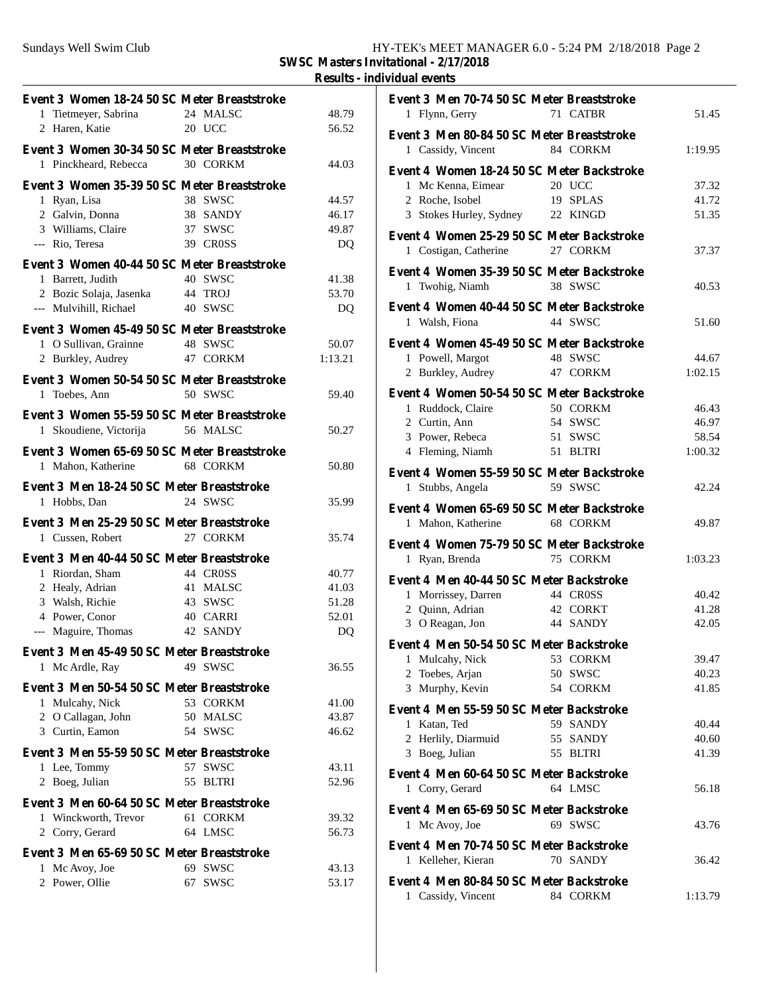**SWSC Masters Invitational - 2/17/2018**

**Results - individual events**

| Event 3 Women 18-24 50 SC Meter Breaststroke |                   |         | Even             |
|----------------------------------------------|-------------------|---------|------------------|
| 1 Tietmeyer, Sabrina 24 MALSC                |                   | 48.79   | 1                |
| 2 Haren, Katie                               | 20 UCC            | 56.52   | Even             |
| Event 3 Women 30-34 50 SC Meter Breaststroke |                   |         | $\mathbf{1}$     |
| 1 Pinckheard, Rebecca 30 CORKM               |                   | 44.03   |                  |
|                                              |                   |         | Even             |
| Event 3 Women 35-39 50 SC Meter Breaststroke |                   |         | 1                |
| 1 Ryan, Lisa                                 | 38 SWSC           | 44.57   | $\mathbf{2}$     |
| 2 Galvin, Donna                              | 38 SANDY          | 46.17   | 3                |
| 3 Williams, Claire                           | 37 SWSC           | 49.87   | Even             |
| --- Rio, Teresa                              | 39 CROSS          | DQ      | 1                |
| Event 3 Women 40-44 50 SC Meter Breaststroke |                   |         |                  |
| 1 Barrett, Judith                            | 40 SWSC           | 41.38   | Even             |
| 2 Bozic Solaja, Jasenka 44 TROJ              |                   | 53.70   | $\mathbf{1}$     |
| --- Mulvihill, Richael                       | 40 SWSC           | DQ      | Even             |
|                                              |                   |         | $\mathbf{1}$     |
| Event 3 Women 45-49 50 SC Meter Breaststroke |                   |         |                  |
| 1 O Sullivan, Grainne 48 SWSC                |                   | 50.07   | Even             |
| 2 Burkley, Audrey 47 CORKM                   |                   | 1:13.21 | 1                |
| Event 3 Women 50-54 50 SC Meter Breaststroke |                   |         | $\overline{2}$   |
| 1 Toebes, Ann                                | 50 SWSC           | 59.40   | Even             |
|                                              |                   |         | $\mathbf{1}$     |
| Event 3 Women 55-59 50 SC Meter Breaststroke |                   |         | $\boldsymbol{2}$ |
| 1 Skoudiene, Victorija 56 MALSC              |                   | 50.27   | 3                |
| Event 3 Women 65-69 50 SC Meter Breaststroke |                   |         | $\overline{4}$   |
| 1 Mahon, Katherine 68 CORKM                  |                   | 50.80   |                  |
|                                              |                   |         | Even             |
| Event 3 Men 18-24 50 SC Meter Breaststroke   |                   |         | $\mathbf{1}$     |
| 1 Hobbs, Dan                                 | 24 SWSC           | 35.99   | Even             |
| Event 3 Men 25-29 50 SC Meter Breaststroke   |                   |         | $\mathbf{1}$     |
| 1 Cussen, Robert                             | 27 CORKM          | 35.74   |                  |
|                                              |                   |         | Even             |
| Event 3 Men 40-44 50 SC Meter Breaststroke   |                   |         | $\mathbf{1}$     |
| 1 Riordan, Sham                              | 44 CROSS          | 40.77   | Even             |
| 2 Healy, Adrian                              | 41 MALSC          | 41.03   | $\mathbf{1}$     |
| 3 Walsh, Richie                              | 43 SWSC           | 51.28   | 2                |
| 4 Power, Conor                               | 40 CARRI          | 52.01   | 3                |
| --- Maguire, Thomas                          | 42 SANDY          | DQ      |                  |
| Event 3 Men 45-49 50 SC Meter Breaststroke   |                   |         | Even             |
| 1 Mc Ardle, Ray                              | 49 SWSC           | 36.55   | $\mathbf{1}$     |
|                                              |                   |         | 2                |
| Event 3 Men 50-54 50 SC Meter Breaststroke   |                   |         | 3                |
| 1 Mulcahy, Nick                              | 53 CORKM          | 41.00   |                  |
| 2 O Callagan, John                           | 50 MALSC          | 43.87   | Even             |
| 3 Curtin, Eamon                              | 54 SWSC           | 46.62   | $\mathbf{1}$     |
|                                              |                   |         | $\overline{c}$   |
| Event 3 Men 55-59 50 SC Meter Breaststroke   | 57 SWSC           |         | 3                |
| 1 Lee, Tommy                                 |                   | 43.11   | Even             |
| 2 Boeg, Julian                               | 55 BLTRI          | 52.96   | 1                |
| Event 3 Men 60-64 50 SC Meter Breaststroke   |                   |         |                  |
| 1 Winckworth, Trevor                         | 61 CORKM          | 39.32   | Even             |
| 2 Corry, Gerard                              | 64 LMSC           | 56.73   | $\mathbf{1}$     |
|                                              |                   |         | Even             |
| Event 3 Men 65-69 50 SC Meter Breaststroke   |                   |         | $\mathbf{1}$     |
| 1 Mc Avoy, Joe                               | 69 SWSC           | 43.13   |                  |
| 2 Power, Ollie                               | <b>SWSC</b><br>67 | 53.17   | Even             |
|                                              |                   |         | $\mathbf{1}$     |

| Event 3 Men 70-74 50 SC Meter Breaststroke |          |         |
|--------------------------------------------|----------|---------|
| 1 Flynn, Gerry                             | 71 CATBR | 51.45   |
|                                            |          |         |
| Event 3 Men 80-84 50 SC Meter Breaststroke |          |         |
| 1 Cassidy, Vincent                         | 84 CORKM | 1:19.95 |
| Event 4 Women 18-24 50 SC Meter Backstroke |          |         |
|                                            | 20 UCC   |         |
| 1 Mc Kenna, Eimear                         |          | 37.32   |
| 2 Roche, Isobel                            | 19 SPLAS | 41.72   |
| 3 Stokes Hurley, Sydney 22 KINGD           |          | 51.35   |
| Event 4 Women 25-29 50 SC Meter Backstroke |          |         |
|                                            | 27 CORKM | 37.37   |
| 1 Costigan, Catherine                      |          |         |
| Event 4 Women 35-39 50 SC Meter Backstroke |          |         |
| 1 Twohig, Niamh                            | 38 SWSC  | 40.53   |
|                                            |          |         |
| Event 4 Women 40-44 50 SC Meter Backstroke |          |         |
| 1 Walsh, Fiona                             | 44 SWSC  | 51.60   |
| Event 4 Women 45-49 50 SC Meter Backstroke |          |         |
|                                            | 48 SWSC  |         |
| 1 Powell, Margot                           |          | 44.67   |
| 2 Burkley, Audrey                          | 47 CORKM | 1:02.15 |
| Event 4 Women 50-54 50 SC Meter Backstroke |          |         |
| 1 Ruddock, Claire                          | 50 CORKM | 46.43   |
| 2 Curtin, Ann                              | 54 SWSC  | 46.97   |
| 3 Power, Rebeca                            | 51 SWSC  | 58.54   |
|                                            |          |         |
| 4 Fleming, Niamh                           | 51 BLTRI | 1:00.32 |
| Event 4 Women 55-59 50 SC Meter Backstroke |          |         |
| 1 Stubbs, Angela                           | 59 SWSC  | 42.24   |
|                                            |          |         |
| Event 4 Women 65-69 50 SC Meter Backstroke |          |         |
| 1 Mahon, Katherine                         | 68 CORKM | 49.87   |
| Event 4 Women 75-79 50 SC Meter Backstroke |          |         |
|                                            |          |         |
| 1 Ryan, Brenda                             | 75 CORKM | 1:03.23 |
| Event 4 Men 40-44 50 SC Meter Backstroke   |          |         |
| 1 Morrissey, Darren                        | 44 CROSS | 40.42   |
| 2 Quinn, Adrian                            | 42 CORKT | 41.28   |
| 3 O Reagan, Jon 44 SANDY                   |          | 42.05   |
|                                            |          |         |
| Event 4 Men 50-54 50 SC Meter Backstroke   |          |         |
| 1 Mulcahy, Nick 53 CORKM                   |          | 39.47   |
| 2 Toebes, Arjan                            | 50 SWSC  | 40.23   |
| 3 Murphy, Kevin                            | 54 CORKM | 41.85   |
|                                            |          |         |
| Event 4 Men 55-59 50 SC Meter Backstroke   |          |         |
| 1 Katan, Ted                               | 59 SANDY | 40.44   |
| 2 Herlily, Diarmuid                        | 55 SANDY | 40.60   |
| 3 Boeg, Julian                             | 55 BLTRI | 41.39   |
|                                            |          |         |
| Event 4 Men 60-64 50 SC Meter Backstroke   |          |         |
| 1 Corry, Gerard                            | 64 LMSC  | 56.18   |
| Event 4 Men 65-69 50 SC Meter Backstroke   |          |         |
| 1 Mc Avoy, Joe                             | 69 SWSC  | 43.76   |
|                                            |          |         |
| Event 4 Men 70-74 50 SC Meter Backstroke   |          |         |
| 1 Kelleher, Kieran                         | 70 SANDY | 36.42   |
|                                            |          |         |
| Event 4 Men 80-84 50 SC Meter Backstroke   |          |         |
| 1 Cassidy, Vincent                         | 84 CORKM | 1:13.79 |
|                                            |          |         |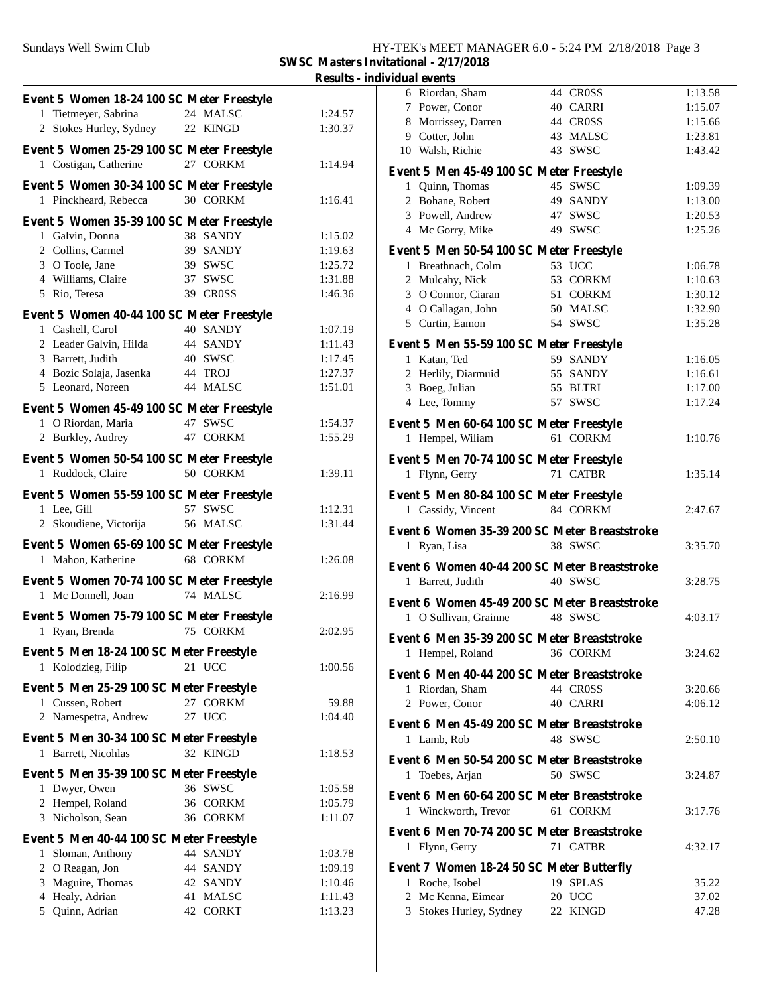## Sundays Well Swim Club HY-TEK's MEET MANAGER 6.0 - 5:24 PM 2/18/2018 Page 3

**SWSC Masters Invitational - 2/17/2018**

**Results - individual events**

| 1 Tietmeyer, Sabrina<br>24 MALSC<br>1:24.57<br>2 Stokes Hurley, Sydney<br>22 KINGD<br>1:30.37<br>Event 5 Women 25-29 100 SC Meter Freestyle<br>27 CORKM<br>1 Costigan, Catherine<br>1:14.94<br>E<br>Event 5 Women 30-34 100 SC Meter Freestyle<br>30 CORKM<br>1 Pinckheard, Rebecca<br>1:16.41<br>Event 5 Women 35-39 100 SC Meter Freestyle<br>1 Galvin, Donna<br>38 SANDY<br>1:15.02<br>2 Collins, Carmel<br>39 SANDY<br>1:19.63<br>E<br>3 O Toole, Jane<br>39 SWSC<br>1:25.72<br>4 Williams, Claire<br>37 SWSC<br>1:31.88<br>5 Rio, Teresa<br>39 CROSS<br>1:46.36<br>Event 5 Women 40-44 100 SC Meter Freestyle<br>40 SANDY<br>1 Cashell, Carol<br>1:07.19<br>2 Leader Galvin, Hilda<br>44 SANDY<br>1:11.43<br>E<br>3 Barrett, Judith<br>40 SWSC<br>1:17.45<br>4 Bozic Solaja, Jasenka 44 TROJ<br>1:27.37<br>5 Leonard, Noreen<br>44 MALSC<br>1:51.01<br>Event 5 Women 45-49 100 SC Meter Freestyle<br>1 O Riordan, Maria<br>47 SWSC<br>1:54.37<br>E<br>2 Burkley, Audrey<br>47 CORKM<br>1:55.29<br>Event 5 Women 50-54 100 SC Meter Freestyle<br>E<br>50 CORKM<br>1 Ruddock, Claire<br>1:39.11<br>Event 5 Women 55-59 100 SC Meter Freestyle<br>E<br>57 SWSC<br>1 Lee, Gill<br>1:12.31<br>2 Skoudiene, Victorija 56 MALSC<br>1:31.44<br>E<br>Event 5 Women 65-69 100 SC Meter Freestyle<br>68 CORKM<br>1 Mahon, Katherine<br>1:26.08<br>E<br>Event 5 Women 70-74 100 SC Meter Freestyle<br>1 Mc Donnell, Joan<br>74 MALSC<br>2:16.99<br>E<br>Event 5 Women 75-79 100 SC Meter Freestyle<br>1 Ryan, Brenda<br>75 CORKM<br>2:02.95<br>E<br>Event 5 Men 18-24 100 SC Meter Freestyle<br>Kolodzieg, Filip<br>21 UCC<br>1:00.56<br>1<br>E<br>Event 5 Men 25-29 100 SC Meter Freestyle<br>1 Cussen, Robert<br>27 CORKM<br>59.88<br>2 Namespetra, Andrew<br>27 UCC<br>1:04.40<br>E<br>Event 5 Men 30-34 100 SC Meter Freestyle<br>1 Barrett, Nicohlas<br>32 KINGD<br>1:18.53<br>Е<br>Event 5 Men 35-39 100 SC Meter Freestyle<br>36 SWSC<br>1 Dwyer, Owen<br>1:05.58<br>E<br>2 Hempel, Roland<br>36 CORKM<br>1:05.79<br>3 Nicholson, Sean<br>36 CORKM<br>1:11.07<br>E<br>Event 5 Men 40-44 100 SC Meter Freestyle<br>44 SANDY<br>Sloman, Anthony<br>1:03.78<br>1<br>2 O Reagan, Jon<br>44 SANDY<br>1:09.19<br>Е<br>3 Maguire, Thomas<br>42 SANDY<br>1:10.46<br>4 Healy, Adrian<br>41 MALSC<br>1:11.43<br>5 Quinn, Adrian<br>42 CORKT<br>1:13.23 | Event 5 Women 18-24 100 SC Meter Freestyle |  |  |
|----------------------------------------------------------------------------------------------------------------------------------------------------------------------------------------------------------------------------------------------------------------------------------------------------------------------------------------------------------------------------------------------------------------------------------------------------------------------------------------------------------------------------------------------------------------------------------------------------------------------------------------------------------------------------------------------------------------------------------------------------------------------------------------------------------------------------------------------------------------------------------------------------------------------------------------------------------------------------------------------------------------------------------------------------------------------------------------------------------------------------------------------------------------------------------------------------------------------------------------------------------------------------------------------------------------------------------------------------------------------------------------------------------------------------------------------------------------------------------------------------------------------------------------------------------------------------------------------------------------------------------------------------------------------------------------------------------------------------------------------------------------------------------------------------------------------------------------------------------------------------------------------------------------------------------------------------------------------------------------------------------------------------------------------------------------------------------------------------------------------------------------------------------------------------------------------------------------------------------------------------------------------------------------------------------------------------------------------|--------------------------------------------|--|--|
|                                                                                                                                                                                                                                                                                                                                                                                                                                                                                                                                                                                                                                                                                                                                                                                                                                                                                                                                                                                                                                                                                                                                                                                                                                                                                                                                                                                                                                                                                                                                                                                                                                                                                                                                                                                                                                                                                                                                                                                                                                                                                                                                                                                                                                                                                                                                              |                                            |  |  |
|                                                                                                                                                                                                                                                                                                                                                                                                                                                                                                                                                                                                                                                                                                                                                                                                                                                                                                                                                                                                                                                                                                                                                                                                                                                                                                                                                                                                                                                                                                                                                                                                                                                                                                                                                                                                                                                                                                                                                                                                                                                                                                                                                                                                                                                                                                                                              |                                            |  |  |
|                                                                                                                                                                                                                                                                                                                                                                                                                                                                                                                                                                                                                                                                                                                                                                                                                                                                                                                                                                                                                                                                                                                                                                                                                                                                                                                                                                                                                                                                                                                                                                                                                                                                                                                                                                                                                                                                                                                                                                                                                                                                                                                                                                                                                                                                                                                                              |                                            |  |  |
|                                                                                                                                                                                                                                                                                                                                                                                                                                                                                                                                                                                                                                                                                                                                                                                                                                                                                                                                                                                                                                                                                                                                                                                                                                                                                                                                                                                                                                                                                                                                                                                                                                                                                                                                                                                                                                                                                                                                                                                                                                                                                                                                                                                                                                                                                                                                              |                                            |  |  |
|                                                                                                                                                                                                                                                                                                                                                                                                                                                                                                                                                                                                                                                                                                                                                                                                                                                                                                                                                                                                                                                                                                                                                                                                                                                                                                                                                                                                                                                                                                                                                                                                                                                                                                                                                                                                                                                                                                                                                                                                                                                                                                                                                                                                                                                                                                                                              |                                            |  |  |
|                                                                                                                                                                                                                                                                                                                                                                                                                                                                                                                                                                                                                                                                                                                                                                                                                                                                                                                                                                                                                                                                                                                                                                                                                                                                                                                                                                                                                                                                                                                                                                                                                                                                                                                                                                                                                                                                                                                                                                                                                                                                                                                                                                                                                                                                                                                                              |                                            |  |  |
|                                                                                                                                                                                                                                                                                                                                                                                                                                                                                                                                                                                                                                                                                                                                                                                                                                                                                                                                                                                                                                                                                                                                                                                                                                                                                                                                                                                                                                                                                                                                                                                                                                                                                                                                                                                                                                                                                                                                                                                                                                                                                                                                                                                                                                                                                                                                              |                                            |  |  |
|                                                                                                                                                                                                                                                                                                                                                                                                                                                                                                                                                                                                                                                                                                                                                                                                                                                                                                                                                                                                                                                                                                                                                                                                                                                                                                                                                                                                                                                                                                                                                                                                                                                                                                                                                                                                                                                                                                                                                                                                                                                                                                                                                                                                                                                                                                                                              |                                            |  |  |
|                                                                                                                                                                                                                                                                                                                                                                                                                                                                                                                                                                                                                                                                                                                                                                                                                                                                                                                                                                                                                                                                                                                                                                                                                                                                                                                                                                                                                                                                                                                                                                                                                                                                                                                                                                                                                                                                                                                                                                                                                                                                                                                                                                                                                                                                                                                                              |                                            |  |  |
|                                                                                                                                                                                                                                                                                                                                                                                                                                                                                                                                                                                                                                                                                                                                                                                                                                                                                                                                                                                                                                                                                                                                                                                                                                                                                                                                                                                                                                                                                                                                                                                                                                                                                                                                                                                                                                                                                                                                                                                                                                                                                                                                                                                                                                                                                                                                              |                                            |  |  |
|                                                                                                                                                                                                                                                                                                                                                                                                                                                                                                                                                                                                                                                                                                                                                                                                                                                                                                                                                                                                                                                                                                                                                                                                                                                                                                                                                                                                                                                                                                                                                                                                                                                                                                                                                                                                                                                                                                                                                                                                                                                                                                                                                                                                                                                                                                                                              |                                            |  |  |
|                                                                                                                                                                                                                                                                                                                                                                                                                                                                                                                                                                                                                                                                                                                                                                                                                                                                                                                                                                                                                                                                                                                                                                                                                                                                                                                                                                                                                                                                                                                                                                                                                                                                                                                                                                                                                                                                                                                                                                                                                                                                                                                                                                                                                                                                                                                                              |                                            |  |  |
|                                                                                                                                                                                                                                                                                                                                                                                                                                                                                                                                                                                                                                                                                                                                                                                                                                                                                                                                                                                                                                                                                                                                                                                                                                                                                                                                                                                                                                                                                                                                                                                                                                                                                                                                                                                                                                                                                                                                                                                                                                                                                                                                                                                                                                                                                                                                              |                                            |  |  |
|                                                                                                                                                                                                                                                                                                                                                                                                                                                                                                                                                                                                                                                                                                                                                                                                                                                                                                                                                                                                                                                                                                                                                                                                                                                                                                                                                                                                                                                                                                                                                                                                                                                                                                                                                                                                                                                                                                                                                                                                                                                                                                                                                                                                                                                                                                                                              |                                            |  |  |
|                                                                                                                                                                                                                                                                                                                                                                                                                                                                                                                                                                                                                                                                                                                                                                                                                                                                                                                                                                                                                                                                                                                                                                                                                                                                                                                                                                                                                                                                                                                                                                                                                                                                                                                                                                                                                                                                                                                                                                                                                                                                                                                                                                                                                                                                                                                                              |                                            |  |  |
|                                                                                                                                                                                                                                                                                                                                                                                                                                                                                                                                                                                                                                                                                                                                                                                                                                                                                                                                                                                                                                                                                                                                                                                                                                                                                                                                                                                                                                                                                                                                                                                                                                                                                                                                                                                                                                                                                                                                                                                                                                                                                                                                                                                                                                                                                                                                              |                                            |  |  |
|                                                                                                                                                                                                                                                                                                                                                                                                                                                                                                                                                                                                                                                                                                                                                                                                                                                                                                                                                                                                                                                                                                                                                                                                                                                                                                                                                                                                                                                                                                                                                                                                                                                                                                                                                                                                                                                                                                                                                                                                                                                                                                                                                                                                                                                                                                                                              |                                            |  |  |
|                                                                                                                                                                                                                                                                                                                                                                                                                                                                                                                                                                                                                                                                                                                                                                                                                                                                                                                                                                                                                                                                                                                                                                                                                                                                                                                                                                                                                                                                                                                                                                                                                                                                                                                                                                                                                                                                                                                                                                                                                                                                                                                                                                                                                                                                                                                                              |                                            |  |  |
|                                                                                                                                                                                                                                                                                                                                                                                                                                                                                                                                                                                                                                                                                                                                                                                                                                                                                                                                                                                                                                                                                                                                                                                                                                                                                                                                                                                                                                                                                                                                                                                                                                                                                                                                                                                                                                                                                                                                                                                                                                                                                                                                                                                                                                                                                                                                              |                                            |  |  |
|                                                                                                                                                                                                                                                                                                                                                                                                                                                                                                                                                                                                                                                                                                                                                                                                                                                                                                                                                                                                                                                                                                                                                                                                                                                                                                                                                                                                                                                                                                                                                                                                                                                                                                                                                                                                                                                                                                                                                                                                                                                                                                                                                                                                                                                                                                                                              |                                            |  |  |
|                                                                                                                                                                                                                                                                                                                                                                                                                                                                                                                                                                                                                                                                                                                                                                                                                                                                                                                                                                                                                                                                                                                                                                                                                                                                                                                                                                                                                                                                                                                                                                                                                                                                                                                                                                                                                                                                                                                                                                                                                                                                                                                                                                                                                                                                                                                                              |                                            |  |  |
|                                                                                                                                                                                                                                                                                                                                                                                                                                                                                                                                                                                                                                                                                                                                                                                                                                                                                                                                                                                                                                                                                                                                                                                                                                                                                                                                                                                                                                                                                                                                                                                                                                                                                                                                                                                                                                                                                                                                                                                                                                                                                                                                                                                                                                                                                                                                              |                                            |  |  |
|                                                                                                                                                                                                                                                                                                                                                                                                                                                                                                                                                                                                                                                                                                                                                                                                                                                                                                                                                                                                                                                                                                                                                                                                                                                                                                                                                                                                                                                                                                                                                                                                                                                                                                                                                                                                                                                                                                                                                                                                                                                                                                                                                                                                                                                                                                                                              |                                            |  |  |
|                                                                                                                                                                                                                                                                                                                                                                                                                                                                                                                                                                                                                                                                                                                                                                                                                                                                                                                                                                                                                                                                                                                                                                                                                                                                                                                                                                                                                                                                                                                                                                                                                                                                                                                                                                                                                                                                                                                                                                                                                                                                                                                                                                                                                                                                                                                                              |                                            |  |  |
|                                                                                                                                                                                                                                                                                                                                                                                                                                                                                                                                                                                                                                                                                                                                                                                                                                                                                                                                                                                                                                                                                                                                                                                                                                                                                                                                                                                                                                                                                                                                                                                                                                                                                                                                                                                                                                                                                                                                                                                                                                                                                                                                                                                                                                                                                                                                              |                                            |  |  |
|                                                                                                                                                                                                                                                                                                                                                                                                                                                                                                                                                                                                                                                                                                                                                                                                                                                                                                                                                                                                                                                                                                                                                                                                                                                                                                                                                                                                                                                                                                                                                                                                                                                                                                                                                                                                                                                                                                                                                                                                                                                                                                                                                                                                                                                                                                                                              |                                            |  |  |
|                                                                                                                                                                                                                                                                                                                                                                                                                                                                                                                                                                                                                                                                                                                                                                                                                                                                                                                                                                                                                                                                                                                                                                                                                                                                                                                                                                                                                                                                                                                                                                                                                                                                                                                                                                                                                                                                                                                                                                                                                                                                                                                                                                                                                                                                                                                                              |                                            |  |  |
|                                                                                                                                                                                                                                                                                                                                                                                                                                                                                                                                                                                                                                                                                                                                                                                                                                                                                                                                                                                                                                                                                                                                                                                                                                                                                                                                                                                                                                                                                                                                                                                                                                                                                                                                                                                                                                                                                                                                                                                                                                                                                                                                                                                                                                                                                                                                              |                                            |  |  |
|                                                                                                                                                                                                                                                                                                                                                                                                                                                                                                                                                                                                                                                                                                                                                                                                                                                                                                                                                                                                                                                                                                                                                                                                                                                                                                                                                                                                                                                                                                                                                                                                                                                                                                                                                                                                                                                                                                                                                                                                                                                                                                                                                                                                                                                                                                                                              |                                            |  |  |
|                                                                                                                                                                                                                                                                                                                                                                                                                                                                                                                                                                                                                                                                                                                                                                                                                                                                                                                                                                                                                                                                                                                                                                                                                                                                                                                                                                                                                                                                                                                                                                                                                                                                                                                                                                                                                                                                                                                                                                                                                                                                                                                                                                                                                                                                                                                                              |                                            |  |  |
|                                                                                                                                                                                                                                                                                                                                                                                                                                                                                                                                                                                                                                                                                                                                                                                                                                                                                                                                                                                                                                                                                                                                                                                                                                                                                                                                                                                                                                                                                                                                                                                                                                                                                                                                                                                                                                                                                                                                                                                                                                                                                                                                                                                                                                                                                                                                              |                                            |  |  |
|                                                                                                                                                                                                                                                                                                                                                                                                                                                                                                                                                                                                                                                                                                                                                                                                                                                                                                                                                                                                                                                                                                                                                                                                                                                                                                                                                                                                                                                                                                                                                                                                                                                                                                                                                                                                                                                                                                                                                                                                                                                                                                                                                                                                                                                                                                                                              |                                            |  |  |
|                                                                                                                                                                                                                                                                                                                                                                                                                                                                                                                                                                                                                                                                                                                                                                                                                                                                                                                                                                                                                                                                                                                                                                                                                                                                                                                                                                                                                                                                                                                                                                                                                                                                                                                                                                                                                                                                                                                                                                                                                                                                                                                                                                                                                                                                                                                                              |                                            |  |  |
|                                                                                                                                                                                                                                                                                                                                                                                                                                                                                                                                                                                                                                                                                                                                                                                                                                                                                                                                                                                                                                                                                                                                                                                                                                                                                                                                                                                                                                                                                                                                                                                                                                                                                                                                                                                                                                                                                                                                                                                                                                                                                                                                                                                                                                                                                                                                              |                                            |  |  |
|                                                                                                                                                                                                                                                                                                                                                                                                                                                                                                                                                                                                                                                                                                                                                                                                                                                                                                                                                                                                                                                                                                                                                                                                                                                                                                                                                                                                                                                                                                                                                                                                                                                                                                                                                                                                                                                                                                                                                                                                                                                                                                                                                                                                                                                                                                                                              |                                            |  |  |
|                                                                                                                                                                                                                                                                                                                                                                                                                                                                                                                                                                                                                                                                                                                                                                                                                                                                                                                                                                                                                                                                                                                                                                                                                                                                                                                                                                                                                                                                                                                                                                                                                                                                                                                                                                                                                                                                                                                                                                                                                                                                                                                                                                                                                                                                                                                                              |                                            |  |  |
|                                                                                                                                                                                                                                                                                                                                                                                                                                                                                                                                                                                                                                                                                                                                                                                                                                                                                                                                                                                                                                                                                                                                                                                                                                                                                                                                                                                                                                                                                                                                                                                                                                                                                                                                                                                                                                                                                                                                                                                                                                                                                                                                                                                                                                                                                                                                              |                                            |  |  |
|                                                                                                                                                                                                                                                                                                                                                                                                                                                                                                                                                                                                                                                                                                                                                                                                                                                                                                                                                                                                                                                                                                                                                                                                                                                                                                                                                                                                                                                                                                                                                                                                                                                                                                                                                                                                                                                                                                                                                                                                                                                                                                                                                                                                                                                                                                                                              |                                            |  |  |
|                                                                                                                                                                                                                                                                                                                                                                                                                                                                                                                                                                                                                                                                                                                                                                                                                                                                                                                                                                                                                                                                                                                                                                                                                                                                                                                                                                                                                                                                                                                                                                                                                                                                                                                                                                                                                                                                                                                                                                                                                                                                                                                                                                                                                                                                                                                                              |                                            |  |  |
|                                                                                                                                                                                                                                                                                                                                                                                                                                                                                                                                                                                                                                                                                                                                                                                                                                                                                                                                                                                                                                                                                                                                                                                                                                                                                                                                                                                                                                                                                                                                                                                                                                                                                                                                                                                                                                                                                                                                                                                                                                                                                                                                                                                                                                                                                                                                              |                                            |  |  |
|                                                                                                                                                                                                                                                                                                                                                                                                                                                                                                                                                                                                                                                                                                                                                                                                                                                                                                                                                                                                                                                                                                                                                                                                                                                                                                                                                                                                                                                                                                                                                                                                                                                                                                                                                                                                                                                                                                                                                                                                                                                                                                                                                                                                                                                                                                                                              |                                            |  |  |
|                                                                                                                                                                                                                                                                                                                                                                                                                                                                                                                                                                                                                                                                                                                                                                                                                                                                                                                                                                                                                                                                                                                                                                                                                                                                                                                                                                                                                                                                                                                                                                                                                                                                                                                                                                                                                                                                                                                                                                                                                                                                                                                                                                                                                                                                                                                                              |                                            |  |  |
|                                                                                                                                                                                                                                                                                                                                                                                                                                                                                                                                                                                                                                                                                                                                                                                                                                                                                                                                                                                                                                                                                                                                                                                                                                                                                                                                                                                                                                                                                                                                                                                                                                                                                                                                                                                                                                                                                                                                                                                                                                                                                                                                                                                                                                                                                                                                              |                                            |  |  |
|                                                                                                                                                                                                                                                                                                                                                                                                                                                                                                                                                                                                                                                                                                                                                                                                                                                                                                                                                                                                                                                                                                                                                                                                                                                                                                                                                                                                                                                                                                                                                                                                                                                                                                                                                                                                                                                                                                                                                                                                                                                                                                                                                                                                                                                                                                                                              |                                            |  |  |
|                                                                                                                                                                                                                                                                                                                                                                                                                                                                                                                                                                                                                                                                                                                                                                                                                                                                                                                                                                                                                                                                                                                                                                                                                                                                                                                                                                                                                                                                                                                                                                                                                                                                                                                                                                                                                                                                                                                                                                                                                                                                                                                                                                                                                                                                                                                                              |                                            |  |  |
|                                                                                                                                                                                                                                                                                                                                                                                                                                                                                                                                                                                                                                                                                                                                                                                                                                                                                                                                                                                                                                                                                                                                                                                                                                                                                                                                                                                                                                                                                                                                                                                                                                                                                                                                                                                                                                                                                                                                                                                                                                                                                                                                                                                                                                                                                                                                              |                                            |  |  |
|                                                                                                                                                                                                                                                                                                                                                                                                                                                                                                                                                                                                                                                                                                                                                                                                                                                                                                                                                                                                                                                                                                                                                                                                                                                                                                                                                                                                                                                                                                                                                                                                                                                                                                                                                                                                                                                                                                                                                                                                                                                                                                                                                                                                                                                                                                                                              |                                            |  |  |
|                                                                                                                                                                                                                                                                                                                                                                                                                                                                                                                                                                                                                                                                                                                                                                                                                                                                                                                                                                                                                                                                                                                                                                                                                                                                                                                                                                                                                                                                                                                                                                                                                                                                                                                                                                                                                                                                                                                                                                                                                                                                                                                                                                                                                                                                                                                                              |                                            |  |  |
|                                                                                                                                                                                                                                                                                                                                                                                                                                                                                                                                                                                                                                                                                                                                                                                                                                                                                                                                                                                                                                                                                                                                                                                                                                                                                                                                                                                                                                                                                                                                                                                                                                                                                                                                                                                                                                                                                                                                                                                                                                                                                                                                                                                                                                                                                                                                              |                                            |  |  |
|                                                                                                                                                                                                                                                                                                                                                                                                                                                                                                                                                                                                                                                                                                                                                                                                                                                                                                                                                                                                                                                                                                                                                                                                                                                                                                                                                                                                                                                                                                                                                                                                                                                                                                                                                                                                                                                                                                                                                                                                                                                                                                                                                                                                                                                                                                                                              |                                            |  |  |
|                                                                                                                                                                                                                                                                                                                                                                                                                                                                                                                                                                                                                                                                                                                                                                                                                                                                                                                                                                                                                                                                                                                                                                                                                                                                                                                                                                                                                                                                                                                                                                                                                                                                                                                                                                                                                                                                                                                                                                                                                                                                                                                                                                                                                                                                                                                                              |                                            |  |  |
|                                                                                                                                                                                                                                                                                                                                                                                                                                                                                                                                                                                                                                                                                                                                                                                                                                                                                                                                                                                                                                                                                                                                                                                                                                                                                                                                                                                                                                                                                                                                                                                                                                                                                                                                                                                                                                                                                                                                                                                                                                                                                                                                                                                                                                                                                                                                              |                                            |  |  |
|                                                                                                                                                                                                                                                                                                                                                                                                                                                                                                                                                                                                                                                                                                                                                                                                                                                                                                                                                                                                                                                                                                                                                                                                                                                                                                                                                                                                                                                                                                                                                                                                                                                                                                                                                                                                                                                                                                                                                                                                                                                                                                                                                                                                                                                                                                                                              |                                            |  |  |
|                                                                                                                                                                                                                                                                                                                                                                                                                                                                                                                                                                                                                                                                                                                                                                                                                                                                                                                                                                                                                                                                                                                                                                                                                                                                                                                                                                                                                                                                                                                                                                                                                                                                                                                                                                                                                                                                                                                                                                                                                                                                                                                                                                                                                                                                                                                                              |                                            |  |  |

| Tuudi CTCiito                                                |          |         |
|--------------------------------------------------------------|----------|---------|
| 6 Riordan, Sham                                              | 44 CROSS | 1:13.58 |
| 7 Power, Conor                                               | 40 CARRI | 1:15.07 |
| 8 Morrissey, Darren                                          | 44 CROSS | 1:15.66 |
| 9 Cotter, John                                               | 43 MALSC | 1:23.81 |
| 10 Walsh, Richie                                             | 43 SWSC  | 1:43.42 |
| Event 5 Men 45-49 100 SC Meter Freestyle                     |          |         |
| 1 Quinn, Thomas                                              | 45 SWSC  | 1:09.39 |
| 2 Bohane, Robert                                             | 49 SANDY | 1:13.00 |
| 3 Powell, Andrew                                             | 47 SWSC  | 1:20.53 |
| 4 Mc Gorry, Mike                                             | 49 SWSC  | 1:25.26 |
|                                                              |          |         |
| Event 5 Men 50-54 100 SC Meter Freestyle                     |          |         |
| 1 Breathnach, Colm                                           | 53 UCC   | 1:06.78 |
| 2 Mulcahy, Nick                                              | 53 CORKM | 1:10.63 |
| 3 O Connor, Ciaran                                           | 51 CORKM | 1:30.12 |
| 4 O Callagan, John                                           | 50 MALSC | 1:32.90 |
| 5 Curtin, Eamon                                              | 54 SWSC  | 1:35.28 |
| Event 5 Men 55-59 100 SC Meter Freestyle                     |          |         |
| 1 Katan, Ted                                                 | 59 SANDY | 1:16.05 |
| 2 Herlily, Diarmuid                                          | 55 SANDY | 1:16.61 |
| 3 Boeg, Julian                                               | 55 BLTRI | 1:17.00 |
| 4 Lee, Tommy                                                 | 57 SWSC  | 1:17.24 |
|                                                              |          |         |
| Event 5 Men 60-64 100 SC Meter Freestyle<br>1 Hempel, Wiliam | 61 CORKM |         |
|                                                              |          | 1:10.76 |
| Event 5 Men 70-74 100 SC Meter Freestyle                     |          |         |
| 1 Flynn, Gerry                                               | 71 CATBR | 1:35.14 |
| Event 5 Men 80-84 100 SC Meter Freestyle                     |          |         |
| 1 Cassidy, Vincent                                           | 84 CORKM | 2:47.67 |
|                                                              |          |         |
| Event 6 Women 35-39 200 SC Meter Breaststroke                |          |         |
| 1 Ryan, Lisa                                                 | 38 SWSC  | 3:35.70 |
| Event 6 Women 40-44 200 SC Meter Breaststroke                |          |         |
| 1 Barrett, Judith                                            | 40 SWSC  | 3:28.75 |
| Event 6 Women 45-49 200 SC Meter Breaststroke                |          |         |
| 1 O Sullivan, Grainne                                        | 48 SWSC  | 4:03.17 |
|                                                              |          |         |
| Event 6 Men 35-39 200 SC Meter Breaststroke                  |          |         |
| 1 Hempel, Roland                                             | 36 CORKM | 3:24.62 |
| Event 6 Men 40-44 200 SC Meter Breaststroke                  |          |         |
| 1 Riordan, Sham                                              | 44 CROSS | 3:20.66 |
| 2 Power, Conor                                               | 40 CARRI | 4:06.12 |
|                                                              |          |         |
| Event 6 Men 45-49 200 SC Meter Breaststroke                  |          |         |
| 1 Lamb, Rob                                                  | 48 SWSC  | 2:50.10 |
| Event 6 Men 50-54 200 SC Meter Breaststroke                  |          |         |
| 1 Toebes, Arjan                                              | 50 SWSC  | 3:24.87 |
|                                                              |          |         |
| Event 6 Men 60-64 200 SC Meter Breaststroke                  |          |         |
| 1 Winckworth, Trevor                                         | 61 CORKM | 3:17.76 |
| Event 6 Men 70-74 200 SC Meter Breaststroke                  |          |         |
| 1 Flynn, Gerry                                               | 71 CATBR | 4:32.17 |
| Event 7 Women 18-24 50 SC Meter Butterfly                    |          |         |
| 1 Roche, Isobel                                              | 19 SPLAS | 35.22   |
| 2 Mc Kenna, Eimear                                           | 20 UCC   | 37.02   |
|                                                              |          |         |
| 3 Stokes Hurley, Sydney                                      | 22 KINGD | 47.28   |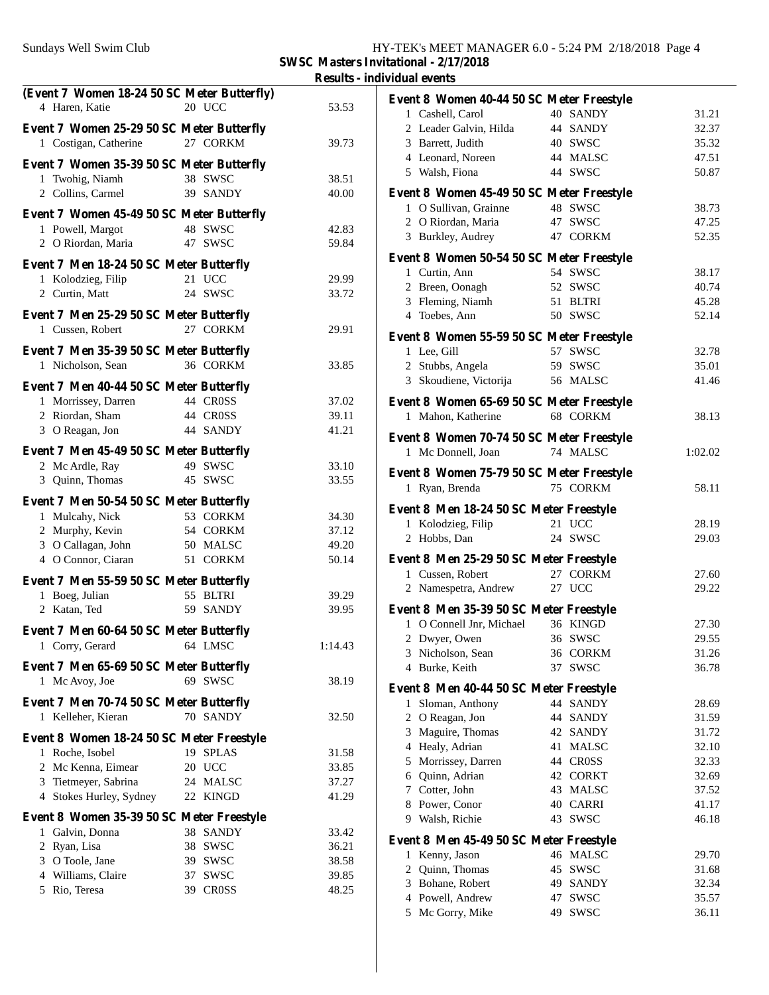**SWSC Masters Invitational - 2/17/2018**

**Results - individual events**

| (Event 7 Women 18-24 50 SC Meter Butterfly) |          |         | Event 8 Women 40-44 50 SC Meter Freestyle |          |         |
|---------------------------------------------|----------|---------|-------------------------------------------|----------|---------|
| 4 Haren, Katie                              | 20 UCC   | 53.53   | 1 Cashell, Carol                          | 40 SANDY | 31.21   |
| Event 7 Women 25-29 50 SC Meter Butterfly   |          |         | 2 Leader Galvin, Hilda                    | 44 SANDY | 32.37   |
| 1 Costigan, Catherine                       | 27 CORKM | 39.73   | 3 Barrett, Judith                         | 40 SWSC  | 35.32   |
|                                             |          |         | 4 Leonard, Noreen                         | 44 MALSC | 47.51   |
| Event 7 Women 35-39 50 SC Meter Butterfly   |          |         | 5 Walsh, Fiona                            | 44 SWSC  | 50.87   |
| 1 Twohig, Niamh                             | 38 SWSC  | 38.51   |                                           |          |         |
| 2 Collins, Carmel                           | 39 SANDY | 40.00   | Event 8 Women 45-49 50 SC Meter Freestyle |          |         |
| Event 7 Women 45-49 50 SC Meter Butterfly   |          |         | 1 O Sullivan, Grainne                     | 48 SWSC  | 38.73   |
| 1 Powell, Margot                            | 48 SWSC  | 42.83   | 2 O Riordan, Maria                        | 47 SWSC  | 47.25   |
| 2 O Riordan, Maria                          | 47 SWSC  | 59.84   | 3 Burkley, Audrey                         | 47 CORKM | 52.35   |
|                                             |          |         | Event 8 Women 50-54 50 SC Meter Freestyle |          |         |
| Event 7 Men 18-24 50 SC Meter Butterfly     |          |         | 1 Curtin, Ann                             | 54 SWSC  | 38.17   |
| 1 Kolodzieg, Filip                          | 21 UCC   | 29.99   | 2 Breen, Oonagh                           | 52 SWSC  | 40.74   |
| 2 Curtin, Matt                              | 24 SWSC  | 33.72   | 3 Fleming, Niamh                          | 51 BLTRI | 45.28   |
| Event 7 Men 25-29 50 SC Meter Butterfly     |          |         | 4 Toebes, Ann                             | 50 SWSC  | 52.14   |
| 1 Cussen, Robert                            | 27 CORKM | 29.91   |                                           |          |         |
|                                             |          |         | Event 8 Women 55-59 50 SC Meter Freestyle |          |         |
| Event 7 Men 35-39 50 SC Meter Butterfly     |          |         | 1 Lee, Gill                               | 57 SWSC  | 32.78   |
| 1 Nicholson, Sean                           | 36 CORKM | 33.85   | 2 Stubbs, Angela                          | 59 SWSC  | 35.01   |
| Event 7 Men 40-44 50 SC Meter Butterfly     |          |         | 3 Skoudiene, Victorija                    | 56 MALSC | 41.46   |
| 1 Morrissey, Darren                         | 44 CROSS | 37.02   | Event 8 Women 65-69 50 SC Meter Freestyle |          |         |
| 2 Riordan, Sham                             | 44 CROSS | 39.11   | 1 Mahon, Katherine                        | 68 CORKM | 38.13   |
| 3 O Reagan, Jon                             | 44 SANDY | 41.21   |                                           |          |         |
|                                             |          |         | Event 8 Women 70-74 50 SC Meter Freestyle |          |         |
| Event 7 Men 45-49 50 SC Meter Butterfly     |          |         | 1 Mc Donnell, Joan                        | 74 MALSC | 1:02.02 |
| 2 Mc Ardle, Ray                             | 49 SWSC  | 33.10   | Event 8 Women 75-79 50 SC Meter Freestyle |          |         |
| 3 Quinn, Thomas                             | 45 SWSC  | 33.55   | 1 Ryan, Brenda                            | 75 CORKM | 58.11   |
| Event 7 Men 50-54 50 SC Meter Butterfly     |          |         |                                           |          |         |
| 1 Mulcahy, Nick                             | 53 CORKM | 34.30   | Event 8 Men 18-24 50 SC Meter Freestyle   |          |         |
| 2 Murphy, Kevin                             | 54 CORKM | 37.12   | 1 Kolodzieg, Filip                        | 21 UCC   | 28.19   |
| 3 O Callagan, John                          | 50 MALSC | 49.20   | 2 Hobbs, Dan                              | 24 SWSC  | 29.03   |
| 4 O Connor, Ciaran                          | 51 CORKM | 50.14   | Event 8 Men 25-29 50 SC Meter Freestyle   |          |         |
|                                             |          |         | 1 Cussen, Robert                          | 27 CORKM | 27.60   |
| Event 7 Men 55-59 50 SC Meter Butterfly     |          |         | 2 Namespetra, Andrew                      | 27 UCC   | 29.22   |
| 1 Boeg, Julian                              | 55 BLTRI | 39.29   |                                           |          |         |
| 2 Katan, Ted                                | 59 SANDY | 39.95   | Event 8 Men 35-39 50 SC Meter Freestyle   |          |         |
| Event 7 Men 60-64 50 SC Meter Butterfly     |          |         | 1 O Connell Jnr, Michael                  | 36 KINGD | 27.30   |
| 1 Corry, Gerard                             | 64 LMSC  | 1:14.43 | 2 Dwyer, Owen                             | 36 SWSC  | 29.55   |
|                                             |          |         | 3 Nicholson, Sean                         | 36 CORKM | 31.26   |
| Event 7 Men 65-69 50 SC Meter Butterfly     |          |         | 4 Burke, Keith                            | 37 SWSC  | 36.78   |
| 1 Mc Avoy, Joe                              | 69 SWSC  | 38.19   | Event 8 Men 40-44 50 SC Meter Freestyle   |          |         |
| Event 7 Men 70-74 50 SC Meter Butterfly     |          |         | 1 Sloman, Anthony                         | 44 SANDY | 28.69   |
| 1 Kelleher, Kieran                          | 70 SANDY | 32.50   | 2 O Reagan, Jon                           | 44 SANDY | 31.59   |
|                                             |          |         | Maguire, Thomas<br>3                      | 42 SANDY | 31.72   |
| Event 8 Women 18-24 50 SC Meter Freestyle   |          |         | Healy, Adrian<br>4                        | 41 MALSC | 32.10   |
| 1 Roche, Isobel                             | 19 SPLAS | 31.58   | Morrissey, Darren<br>5                    | 44 CROSS | 32.33   |
| 2 Mc Kenna, Eimear                          | 20 UCC   | 33.85   | Quinn, Adrian<br>6                        | 42 CORKT | 32.69   |
| 3 Tietmeyer, Sabrina                        | 24 MALSC | 37.27   | Cotter, John<br>7                         | 43 MALSC | 37.52   |
| 4 Stokes Hurley, Sydney                     | 22 KINGD | 41.29   | Power, Conor<br>8                         | 40 CARRI | 41.17   |
| Event 8 Women 35-39 50 SC Meter Freestyle   |          |         | Walsh, Richie<br>9                        | 43 SWSC  | 46.18   |
| 1 Galvin, Donna                             | 38 SANDY | 33.42   |                                           |          |         |
| 2 Ryan, Lisa                                | 38 SWSC  | 36.21   | Event 8 Men 45-49 50 SC Meter Freestyle   |          |         |
| 3 O Toole, Jane                             | 39 SWSC  | 38.58   | 1 Kenny, Jason                            | 46 MALSC | 29.70   |
| 4 Williams, Claire                          | 37 SWSC  | 39.85   | Quinn, Thomas<br>2                        | 45 SWSC  | 31.68   |
| 5 Rio, Teresa                               | 39 CROSS | 48.25   | Bohane, Robert<br>3                       | 49 SANDY | 32.34   |
|                                             |          |         | 4 Powell, Andrew                          | 47 SWSC  | 35.57   |
|                                             |          |         | 5 Mc Gorry, Mike                          | 49 SWSC  | 36.11   |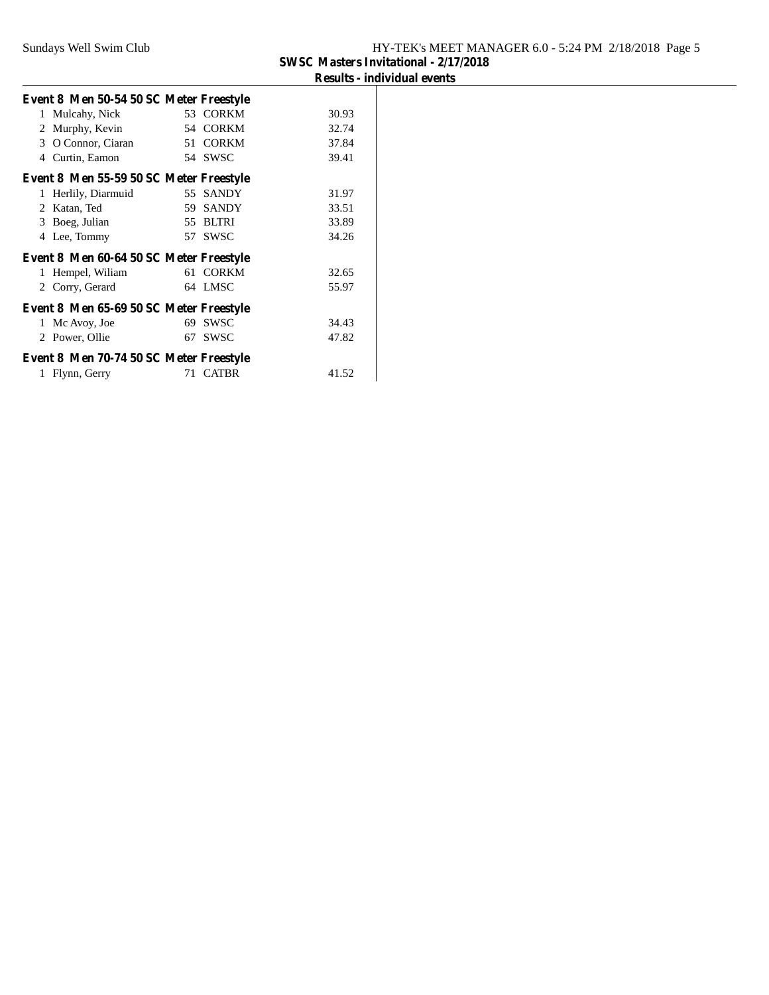| Event 8 Men 50-54 50 SC Meter Freestyle |    |             |       |  |
|-----------------------------------------|----|-------------|-------|--|
| 1 Mulcahy, Nick                         |    | 53 CORKM    | 30.93 |  |
| 2 Murphy, Kevin                         |    | 54 CORKM    | 32.74 |  |
| O Connor, Ciaran<br>3                   |    | 51 CORKM    | 37.84 |  |
| Curtin, Eamon<br>4                      |    | 54 SWSC     | 39.41 |  |
| Event 8 Men 55-59 50 SC Meter Freestyle |    |             |       |  |
| 1 Herlily, Diarmuid                     |    | 55 SANDY    | 31.97 |  |
| 2 Katan, Ted                            |    | 59 SANDY    | 33.51 |  |
| Boeg, Julian<br>3                       |    | 55 BLTRI    | 33.89 |  |
| Lee, Tommy<br>4                         |    | 57 SWSC     | 34.26 |  |
| Event 8 Men 60-64 50 SC Meter Freestyle |    |             |       |  |
| 1 Hempel, Wiliam                        |    | 61 CORKM    | 32.65 |  |
| 2 Corry, Gerard                         |    | 64 LMSC     | 55.97 |  |
| Event 8 Men 65-69 50 SC Meter Freestyle |    |             |       |  |
| 1 Mc Avoy, Joe                          | 69 | <b>SWSC</b> | 34.43 |  |
| 2 Power, Ollie                          |    | 67 SWSC     | 47.82 |  |
| Event 8 Men 70-74 50 SC Meter Freestyle |    |             |       |  |
| 1 Flynn, Gerry                          |    | 71 CATBR    | 41.52 |  |